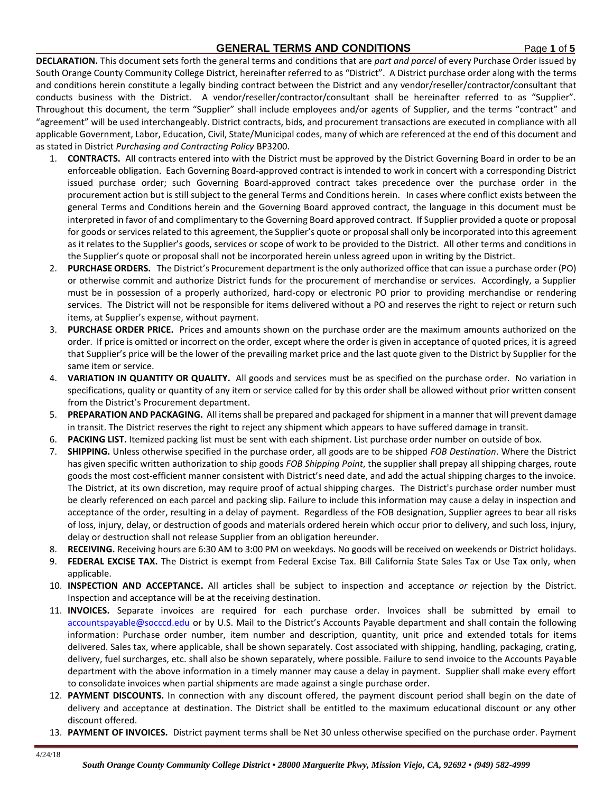## **GENERAL TERMS AND CONDITIONS** Page **1** of **5**

**DECLARATION.** This document sets forth the general terms and conditions that are *part and parcel* of every Purchase Order issued by South Orange County Community College District, hereinafter referred to as "District". A District purchase order along with the terms and conditions herein constitute a legally binding contract between the District and any vendor/reseller/contractor/consultant that conducts business with the District. A vendor/reseller/contractor/consultant shall be hereinafter referred to as "Supplier". Throughout this document, the term "Supplier" shall include employees and/or agents of Supplier, and the terms "contract" and "agreement" will be used interchangeably. District contracts, bids, and procurement transactions are executed in compliance with all applicable Government, Labor, Education, Civil, State/Municipal codes, many of which are referenced at the end of this document and as stated in District *Purchasing and Contracting Policy* BP3200.

- 1. **CONTRACTS.** All contracts entered into with the District must be approved by the District Governing Board in order to be an enforceable obligation. Each Governing Board-approved contract is intended to work in concert with a corresponding District issued purchase order; such Governing Board-approved contract takes precedence over the purchase order in the procurement action but is still subject to the general Terms and Conditions herein. In cases where conflict exists between the general Terms and Conditions herein and the Governing Board approved contract, the language in this document must be interpreted in favor of and complimentary to the Governing Board approved contract. If Supplier provided a quote or proposal for goods or services related to this agreement, the Supplier's quote or proposal shall only be incorporated into this agreement as it relates to the Supplier's goods, services or scope of work to be provided to the District. All other terms and conditions in the Supplier's quote or proposal shall not be incorporated herein unless agreed upon in writing by the District.
- 2. **PURCHASE ORDERS.** The District's Procurement department is the only authorized office that can issue a purchase order (PO) or otherwise commit and authorize District funds for the procurement of merchandise or services. Accordingly, a Supplier must be in possession of a properly authorized, hard-copy or electronic PO prior to providing merchandise or rendering services. The District will not be responsible for items delivered without a PO and reserves the right to reject or return such items, at Supplier's expense, without payment.
- 3. **PURCHASE ORDER PRICE.** Prices and amounts shown on the purchase order are the maximum amounts authorized on the order. If price is omitted or incorrect on the order, except where the order is given in acceptance of quoted prices, it is agreed that Supplier's price will be the lower of the prevailing market price and the last quote given to the District by Supplier for the same item or service.
- 4. **VARIATION IN QUANTITY OR QUALITY.** All goods and services must be as specified on the purchase order. No variation in specifications, quality or quantity of any item or service called for by this order shall be allowed without prior written consent from the District's Procurement department.
- 5. **PREPARATION AND PACKAGING.** All items shall be prepared and packaged for shipment in a manner that will prevent damage in transit. The District reserves the right to reject any shipment which appears to have suffered damage in transit.
- 6. **PACKING LIST.** Itemized packing list must be sent with each shipment. List purchase order number on outside of box.
- 7. **SHIPPING.** Unless otherwise specified in the purchase order, all goods are to be shipped *FOB Destination*. Where the District has given specific written authorization to ship goods *FOB Shipping Point*, the supplier shall prepay all shipping charges, route goods the most cost-efficient manner consistent with District's need date, and add the actual shipping charges to the invoice. The District, at its own discretion, may require proof of actual shipping charges. The District's purchase order number must be clearly referenced on each parcel and packing slip. Failure to include this information may cause a delay in inspection and acceptance of the order, resulting in a delay of payment. Regardless of the FOB designation, Supplier agrees to bear all risks of loss, injury, delay, or destruction of goods and materials ordered herein which occur prior to delivery, and such loss, injury, delay or destruction shall not release Supplier from an obligation hereunder.
- 8. **RECEIVING.** Receiving hours are 6:30 AM to 3:00 PM on weekdays. No goods will be received on weekends or District holidays.
- 9. **FEDERAL EXCISE TAX.** The District is exempt from Federal Excise Tax. Bill California State Sales Tax or Use Tax only, when applicable.
- 10. **INSPECTION AND ACCEPTANCE.** All articles shall be subject to inspection and acceptance *or* rejection by the District. Inspection and acceptance will be at the receiving destination.
- 11. **INVOICES.** Separate invoices are required for each purchase order. Invoices shall be submitted by email to [accountspayable@socccd.edu](mailto:accountspayable@socccd.edu) or by U.S. Mail to the District's Accounts Payable department and shall contain the following information: Purchase order number, item number and description, quantity, unit price and extended totals for items delivered. Sales tax, where applicable, shall be shown separately. Cost associated with shipping, handling, packaging, crating, delivery, fuel surcharges, etc. shall also be shown separately, where possible. Failure to send invoice to the Accounts Payable department with the above information in a timely manner may cause a delay in payment. Supplier shall make every effort to consolidate invoices when partial shipments are made against a single purchase order.
- 12. **PAYMENT DISCOUNTS.** In connection with any discount offered, the payment discount period shall begin on the date of delivery and acceptance at destination. The District shall be entitled to the maximum educational discount or any other discount offered.
- 13. **PAYMENT OF INVOICES.** District payment terms shall be Net 30 unless otherwise specified on the purchase order. Payment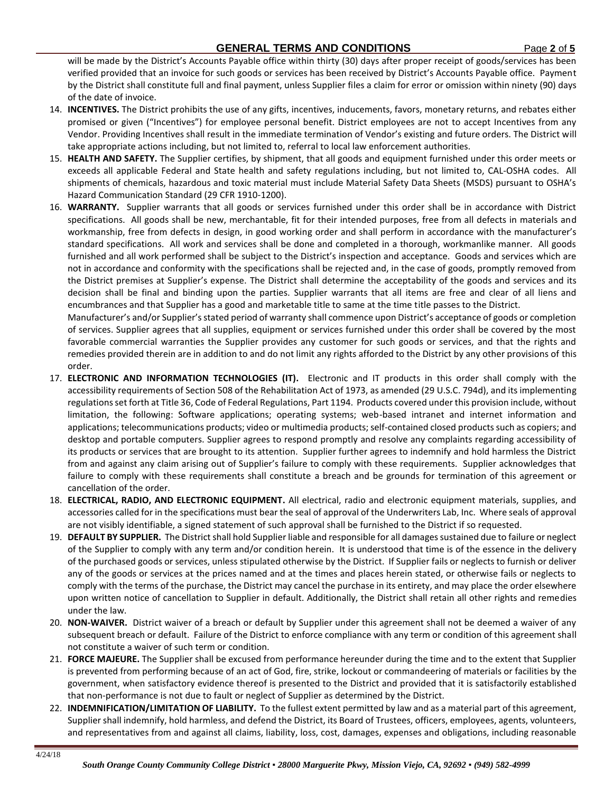will be made by the District's Accounts Payable office within thirty (30) days after proper receipt of goods/services has been verified provided that an invoice for such goods or services has been received by District's Accounts Payable office. Payment by the District shall constitute full and final payment, unless Supplier files a claim for error or omission within ninety (90) days of the date of invoice.

- 14. **INCENTIVES.** The District prohibits the use of any gifts, incentives, inducements, favors, monetary returns, and rebates either promised or given ("Incentives") for employee personal benefit. District employees are not to accept Incentives from any Vendor. Providing Incentives shall result in the immediate termination of Vendor's existing and future orders. The District will take appropriate actions including, but not limited to, referral to local law enforcement authorities.
- 15. **HEALTH AND SAFETY.** The Supplier certifies, by shipment, that all goods and equipment furnished under this order meets or exceeds all applicable Federal and State health and safety regulations including, but not limited to, CAL-OSHA codes. All shipments of chemicals, hazardous and toxic material must include Material Safety Data Sheets (MSDS) pursuant to OSHA's Hazard Communication Standard (29 CFR 1910-1200).
- 16. **WARRANTY.** Supplier warrants that all goods or services furnished under this order shall be in accordance with District specifications. All goods shall be new, merchantable, fit for their intended purposes, free from all defects in materials and workmanship, free from defects in design, in good working order and shall perform in accordance with the manufacturer's standard specifications. All work and services shall be done and completed in a thorough, workmanlike manner. All goods furnished and all work performed shall be subject to the District's inspection and acceptance. Goods and services which are not in accordance and conformity with the specifications shall be rejected and, in the case of goods, promptly removed from the District premises at Supplier's expense. The District shall determine the acceptability of the goods and services and its decision shall be final and binding upon the parties. Supplier warrants that all items are free and clear of all liens and encumbrances and that Supplier has a good and marketable title to same at the time title passes to the District.

Manufacturer's and/or Supplier's stated period of warranty shall commence upon District's acceptance of goods or completion of services. Supplier agrees that all supplies, equipment or services furnished under this order shall be covered by the most favorable commercial warranties the Supplier provides any customer for such goods or services, and that the rights and remedies provided therein are in addition to and do not limit any rights afforded to the District by any other provisions of this order.

- 17. **ELECTRONIC AND INFORMATION TECHNOLOGIES (IT).** Electronic and IT products in this order shall comply with the accessibility requirements of Section 508 of the Rehabilitation Act of 1973, as amended (29 U.S.C. 794d), and its implementing regulations set forth at Title 36, Code of Federal Regulations, Part 1194. Products covered under this provision include, without limitation, the following: Software applications; operating systems; web-based intranet and internet information and applications; telecommunications products; video or multimedia products; self-contained closed products such as copiers; and desktop and portable computers. Supplier agrees to respond promptly and resolve any complaints regarding accessibility of its products or services that are brought to its attention. Supplier further agrees to indemnify and hold harmless the District from and against any claim arising out of Supplier's failure to comply with these requirements. Supplier acknowledges that failure to comply with these requirements shall constitute a breach and be grounds for termination of this agreement or cancellation of the order.
- 18. **ELECTRICAL, RADIO, AND ELECTRONIC EQUIPMENT.** All electrical, radio and electronic equipment materials, supplies, and accessories called for in the specifications must bear the seal of approval of the Underwriters Lab, Inc. Where seals of approval are not visibly identifiable, a signed statement of such approval shall be furnished to the District if so requested.
- 19. **DEFAULT BY SUPPLIER.** The District shall hold Supplier liable and responsible for all damages sustained due to failure or neglect of the Supplier to comply with any term and/or condition herein. It is understood that time is of the essence in the delivery of the purchased goods or services, unless stipulated otherwise by the District. If Supplier fails or neglects to furnish or deliver any of the goods or services at the prices named and at the times and places herein stated, or otherwise fails or neglects to comply with the terms of the purchase, the District may cancel the purchase in its entirety, and may place the order elsewhere upon written notice of cancellation to Supplier in default. Additionally, the District shall retain all other rights and remedies under the law.
- 20. **NON-WAIVER.** District waiver of a breach or default by Supplier under this agreement shall not be deemed a waiver of any subsequent breach or default. Failure of the District to enforce compliance with any term or condition of this agreement shall not constitute a waiver of such term or condition.
- 21. **FORCE MAJEURE.** The Supplier shall be excused from performance hereunder during the time and to the extent that Supplier is prevented from performing because of an act of God, fire, strike, lockout or commandeering of materials or facilities by the government, when satisfactory evidence thereof is presented to the District and provided that it is satisfactorily established that non-performance is not due to fault or neglect of Supplier as determined by the District.
- 22. **INDEMNIFICATION/LIMITATION OF LIABILITY.** To the fullest extent permitted by law and as a material part of this agreement, Supplier shall indemnify, hold harmless, and defend the District, its Board of Trustees, officers, employees, agents, volunteers, and representatives from and against all claims, liability, loss, cost, damages, expenses and obligations, including reasonable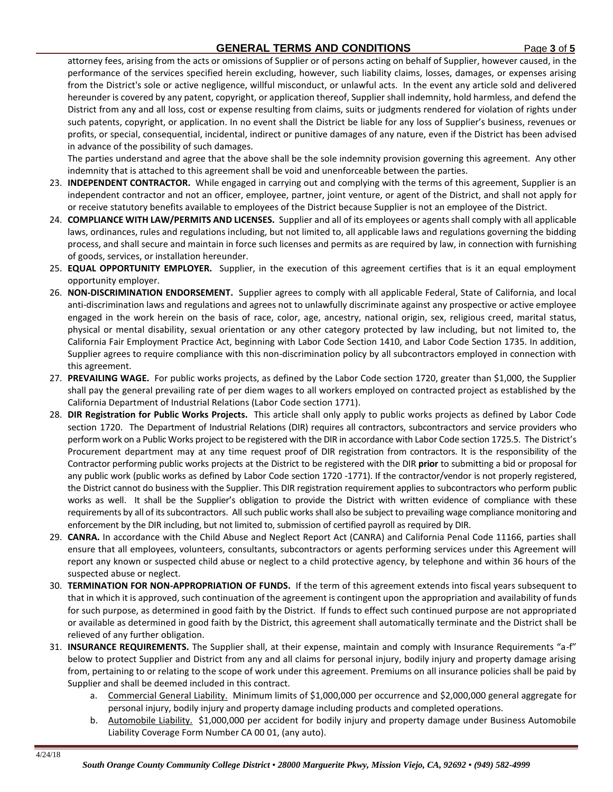attorney fees, arising from the acts or omissions of Supplier or of persons acting on behalf of Supplier, however caused, in the performance of the services specified herein excluding, however, such liability claims, losses, damages, or expenses arising from the District's sole or active negligence, willful misconduct, or unlawful acts. In the event any article sold and delivered hereunder is covered by any patent, copyright, or application thereof, Supplier shall indemnity, hold harmless, and defend the District from any and all loss, cost or expense resulting from claims, suits or judgments rendered for violation of rights under such patents, copyright, or application. In no event shall the District be liable for any loss of Supplier's business, revenues or profits, or special, consequential, incidental, indirect or punitive damages of any nature, even if the District has been advised in advance of the possibility of such damages.

The parties understand and agree that the above shall be the sole indemnity provision governing this agreement. Any other indemnity that is attached to this agreement shall be void and unenforceable between the parties.

- 23. **INDEPENDENT CONTRACTOR.** While engaged in carrying out and complying with the terms of this agreement, Supplier is an independent contractor and not an officer, employee, partner, joint venture, or agent of the District, and shall not apply for or receive statutory benefits available to employees of the District because Supplier is not an employee of the District.
- 24. **COMPLIANCE WITH LAW/PERMITS AND LICENSES.** Supplier and all of its employees or agents shall comply with all applicable laws, ordinances, rules and regulations including, but not limited to, all applicable laws and regulations governing the bidding process, and shall secure and maintain in force such licenses and permits as are required by law, in connection with furnishing of goods, services, or installation hereunder.
- 25. **EQUAL OPPORTUNITY EMPLOYER.** Supplier, in the execution of this agreement certifies that is it an equal employment opportunity employer.
- 26. **NON-DISCRIMINATION ENDORSEMENT.** Supplier agrees to comply with all applicable Federal, State of California, and local anti-discrimination laws and regulations and agrees not to unlawfully discriminate against any prospective or active employee engaged in the work herein on the basis of race, color, age, ancestry, national origin, sex, religious creed, marital status, physical or mental disability, sexual orientation or any other category protected by law including, but not limited to, the California Fair Employment Practice Act, beginning with Labor Code Section 1410, and Labor Code Section 1735. In addition, Supplier agrees to require compliance with this non-discrimination policy by all subcontractors employed in connection with this agreement.
- 27. **PREVAILING WAGE.** For public works projects, as defined by the Labor Code section 1720, greater than \$1,000, the Supplier shall pay the general prevailing rate of per diem wages to all workers employed on contracted project as established by the California Department of Industrial Relations (Labor Code section 1771).
- 28. **DIR Registration for Public Works Projects.** This article shall only apply to public works projects as defined by Labor Code section 1720. The Department of Industrial Relations (DIR) requires all contractors, subcontractors and service providers who perform work on a Public Works project to be registered with the DIR in accordance with Labor Code section 1725.5. The District's Procurement department may at any time request proof of DIR registration from contractors. It is the responsibility of the Contractor performing public works projects at the District to be registered with the DIR **prior** to submitting a bid or proposal for any public work (public works as defined by Labor Code section 1720 -1771). If the contractor/vendor is not properly registered, the District cannot do business with the Supplier. This DIR registration requirement applies to subcontractors who perform public works as well. It shall be the Supplier's obligation to provide the District with written evidence of compliance with these requirements by all of its subcontractors. All such public works shall also be subject to prevailing wage compliance monitoring and enforcement by the DIR including, but not limited to, submission of certified payroll as required by DIR.
- 29. **CANRA.** In accordance with the Child Abuse and Neglect Report Act (CANRA) and California Penal Code 11166, parties shall ensure that all employees, volunteers, consultants, subcontractors or agents performing services under this Agreement will report any known or suspected child abuse or neglect to a child protective agency, by telephone and within 36 hours of the suspected abuse or neglect.
- 30. **TERMINATION FOR NON-APPROPRIATION OF FUNDS.** If the term of this agreement extends into fiscal years subsequent to that in which it is approved, such continuation of the agreement is contingent upon the appropriation and availability of funds for such purpose, as determined in good faith by the District. If funds to effect such continued purpose are not appropriated or available as determined in good faith by the District, this agreement shall automatically terminate and the District shall be relieved of any further obligation.
- 31. **INSURANCE REQUIREMENTS.** The Supplier shall, at their expense, maintain and comply with Insurance Requirements "a-f" below to protect Supplier and District from any and all claims for personal injury, bodily injury and property damage arising from, pertaining to or relating to the scope of work under this agreement. Premiums on all insurance policies shall be paid by Supplier and shall be deemed included in this contract.
	- a. Commercial General Liability. Minimum limits of \$1,000,000 per occurrence and \$2,000,000 general aggregate for personal injury, bodily injury and property damage including products and completed operations.
	- b. Automobile Liability. \$1,000,000 per accident for bodily injury and property damage under Business Automobile Liability Coverage Form Number CA 00 01, (any auto).

4/24/18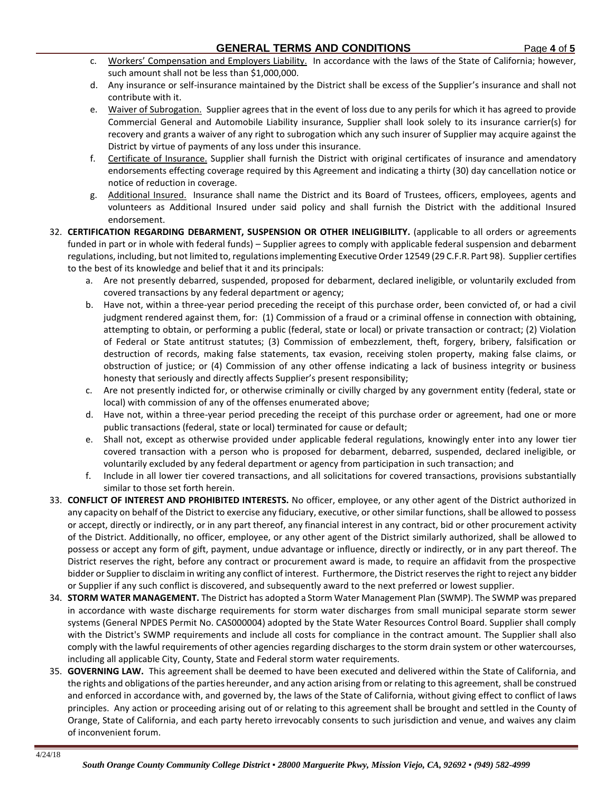- c. Workers' Compensation and Employers Liability. In accordance with the laws of the State of California; however, such amount shall not be less than \$1,000,000.
- d. Any insurance or self-insurance maintained by the District shall be excess of the Supplier's insurance and shall not contribute with it.
- e. Waiver of Subrogation. Supplier agrees that in the event of loss due to any perils for which it has agreed to provide Commercial General and Automobile Liability insurance, Supplier shall look solely to its insurance carrier(s) for recovery and grants a waiver of any right to subrogation which any such insurer of Supplier may acquire against the District by virtue of payments of any loss under this insurance.
- f. Certificate of Insurance. Supplier shall furnish the District with original certificates of insurance and amendatory endorsements effecting coverage required by this Agreement and indicating a thirty (30) day cancellation notice or notice of reduction in coverage.
- g. Additional Insured. Insurance shall name the District and its Board of Trustees, officers, employees, agents and volunteers as Additional Insured under said policy and shall furnish the District with the additional Insured endorsement.
- 32. **CERTIFICATION REGARDING DEBARMENT, SUSPENSION OR OTHER INELIGIBILITY.** (applicable to all orders or agreements funded in part or in whole with federal funds) – Supplier agrees to comply with applicable federal suspension and debarment regulations, including, but not limited to, regulations implementing Executive Order 12549 (29 C.F.R. Part 98). Supplier certifies to the best of its knowledge and belief that it and its principals:
	- a. Are not presently debarred, suspended, proposed for debarment, declared ineligible, or voluntarily excluded from covered transactions by any federal department or agency;
	- b. Have not, within a three-year period preceding the receipt of this purchase order, been convicted of, or had a civil judgment rendered against them, for: (1) Commission of a fraud or a criminal offense in connection with obtaining, attempting to obtain, or performing a public (federal, state or local) or private transaction or contract; (2) Violation of Federal or State antitrust statutes; (3) Commission of embezzlement, theft, forgery, bribery, falsification or destruction of records, making false statements, tax evasion, receiving stolen property, making false claims, or obstruction of justice; or (4) Commission of any other offense indicating a lack of business integrity or business honesty that seriously and directly affects Supplier's present responsibility;
	- c. Are not presently indicted for, or otherwise criminally or civilly charged by any government entity (federal, state or local) with commission of any of the offenses enumerated above;
	- d. Have not, within a three-year period preceding the receipt of this purchase order or agreement, had one or more public transactions (federal, state or local) terminated for cause or default;
	- e. Shall not, except as otherwise provided under applicable federal regulations, knowingly enter into any lower tier covered transaction with a person who is proposed for debarment, debarred, suspended, declared ineligible, or voluntarily excluded by any federal department or agency from participation in such transaction; and
	- f. Include in all lower tier covered transactions, and all solicitations for covered transactions, provisions substantially similar to those set forth herein.
- 33. **CONFLICT OF INTEREST AND PROHIBITED INTERESTS.** No officer, employee, or any other agent of the District authorized in any capacity on behalf of the District to exercise any fiduciary, executive, or other similar functions, shall be allowed to possess or accept, directly or indirectly, or in any part thereof, any financial interest in any contract, bid or other procurement activity of the District. Additionally, no officer, employee, or any other agent of the District similarly authorized, shall be allowed to possess or accept any form of gift, payment, undue advantage or influence, directly or indirectly, or in any part thereof. The District reserves the right, before any contract or procurement award is made, to require an affidavit from the prospective bidder or Supplier to disclaim in writing any conflict of interest. Furthermore, the District reserves the right to reject any bidder or Supplier if any such conflict is discovered, and subsequently award to the next preferred or lowest supplier.
- 34. **STORM WATER MANAGEMENT.** The District has adopted a Storm Water Management Plan (SWMP). The SWMP was prepared in accordance with waste discharge requirements for storm water discharges from small municipal separate storm sewer systems (General NPDES Permit No. CAS000004) adopted by the State Water Resources Control Board. Supplier shall comply with the District's SWMP requirements and include all costs for compliance in the contract amount. The Supplier shall also comply with the lawful requirements of other agencies regarding discharges to the storm drain system or other watercourses, including all applicable City, County, State and Federal storm water requirements.
- 35. **GOVERNING LAW.** This agreement shall be deemed to have been executed and delivered within the State of California, and the rights and obligations of the parties hereunder, and any action arising from or relating to this agreement, shall be construed and enforced in accordance with, and governed by, the laws of the State of California, without giving effect to conflict of laws principles. Any action or proceeding arising out of or relating to this agreement shall be brought and settled in the County of Orange, State of California, and each party hereto irrevocably consents to such jurisdiction and venue, and waives any claim of inconvenient forum.